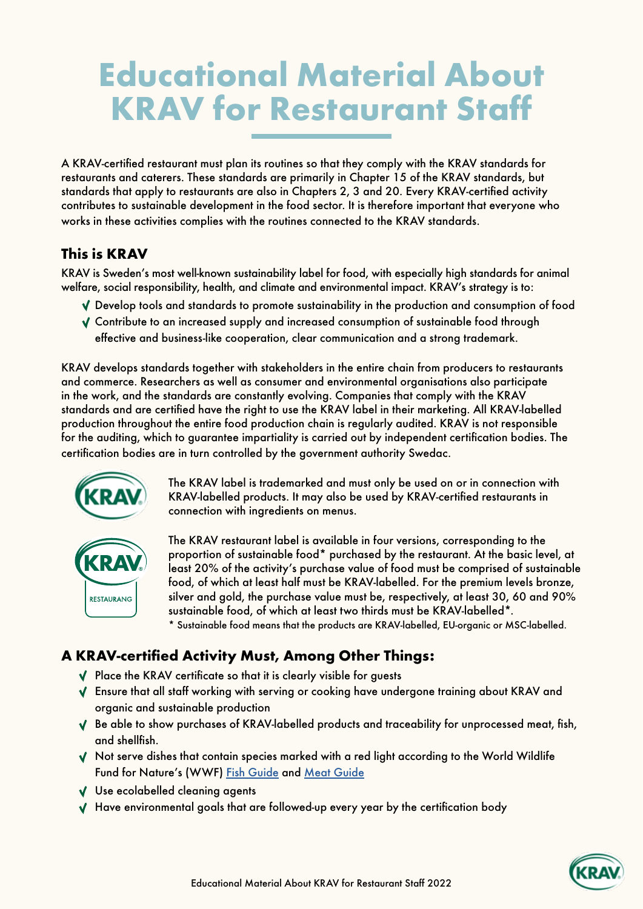# Educational Material About KRAV for Restaurant Staff

A KRAV-certified restaurant must plan its routines so that they comply with the KRAV standards for restaurants and caterers. These standards are primarily in Chapter 15 of the KRAV standards, but standards that apply to restaurants are also in Chapters 2, 3 and 20. Every KRAV-certified activity contributes to sustainable development in the food sector. It is therefore important that everyone who works in these activities complies with the routines connected to the KRAV standards.

### This is KRAV

KRAV is Sweden's most well-known sustainability label for food, with especially high standards for animal welfare, social responsibility, health, and climate and environmental impact. KRAV's strategy is to:

- Develop tools and standards to promote sustainability in the production and consumption of food
- Contribute to an increased supply and increased consumption of sustainable food through effective and business-like cooperation, clear communication and a strong trademark.

KRAV develops standards together with stakeholders in the entire chain from producers to restaurants and commerce. Researchers as well as consumer and environmental organisations also participate in the work, and the standards are constantly evolving. Companies that comply with the KRAV standards and are certified have the right to use the KRAV label in their marketing. All KRAV-labelled production throughout the entire food production chain is regularly audited. KRAV is not responsible for the auditing, which to guarantee impartiality is carried out by independent certification bodies. The certification bodies are in turn controlled by the government authority Swedac.



The KRAV label is trademarked and must only be used on or in connection with KRAV-labelled products. It may also be used by KRAV-certified restaurants in connection with ingredients on menus.



The KRAV restaurant label is available in four versions, corresponding to the proportion of sustainable food\* purchased by the restaurant. At the basic level, at least 20% of the activity's purchase value of food must be comprised of sustainable food, of which at least half must be KRAV-labelled. For the premium levels bronze, silver and gold, the purchase value must be, respectively, at least 30, 60 and 90% sustainable food, of which at least two thirds must be KRAV-labelled\*. \* Sustainable food means that the products are KRAV-labelled, EU-organic or MSC-labelled.

## A KRAV-certified Activity Must, Among Other Things:

- $\sqrt{\phantom{a}}$  Place the KRAV certificate so that it is clearly visible for guests
- Ensure that all staff working with serving or cooking have undergone training about KRAV and organic and sustainable production
- $\sqrt{\phantom{a}}$  Be able to show purchases of KRAV-labelled products and traceability for unprocessed meat, fish, and shellfish.
- $\sqrt{\phantom{a}}$  Not serve dishes that contain species marked with a red light according to the World Wildlife Fund for Nature's (WWF) [Fish Guide](https://fiskguiden.wwf.se/) and [Meat Guide](https://www.wwf.se/mat-och-jordbruk/kottguiden/)
- V Use ecolabelled cleaning agents
- $\sqrt{ }$  Have environmental goals that are followed-up every year by the certification body

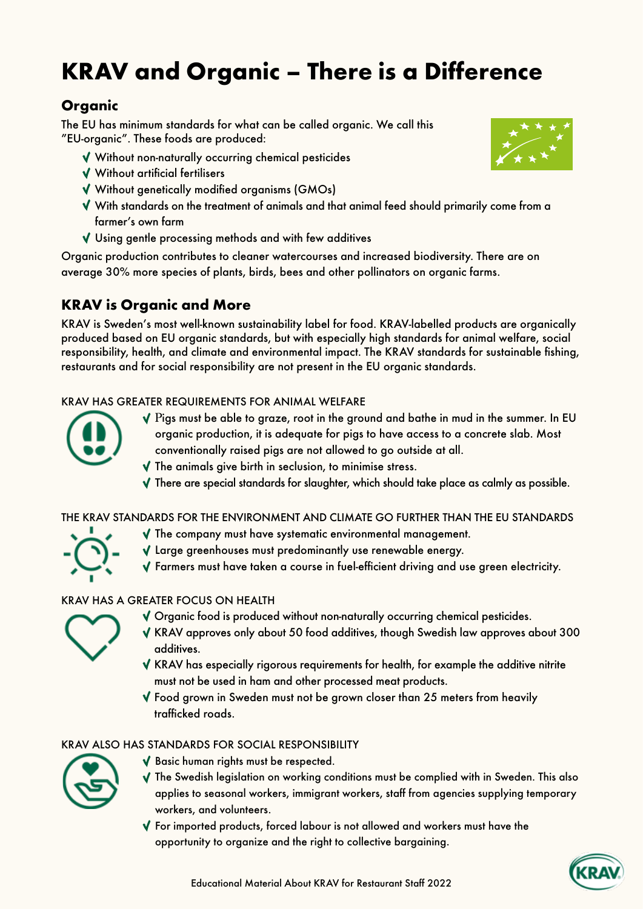## KRAV and Organic – There is a Difference

## **Organic**

The EU has minimum standards for what can be called organic. We call this "EU-organic". These foods are produced:

- Without non-naturally occurring chemical pesticides
- Without artificial fertilisers
- Without genetically modified organisms (GMOs)
- With standards on the treatment of animals and that animal feed should primarily come from a farmer's own farm
- $\sqrt{ }$  Using gentle processing methods and with few additives

Organic production contributes to cleaner watercourses and increased biodiversity. There are on average 30% more species of plants, birds, bees and other pollinators on organic farms.

### KRAV is Organic and More

KRAV is Sweden's most well-known sustainability label for food. KRAV-labelled products are organically produced based on EU organic standards, but with especially high standards for animal welfare, social responsibility, health, and climate and environmental impact. The KRAV standards for sustainable fishing, restaurants and for social responsibility are not present in the EU organic standards.

#### KRAV HAS GREATER REQUIREMENTS FOR ANIMAL WELFARE



- $\sqrt{P}$ igs must be able to graze, root in the ground and bathe in mud in the summer. In EU organic production, it is adequate for pigs to have access to a concrete slab. Most conventionally raised pigs are not allowed to go outside at all.
- $\sqrt{ }$  The animals give birth in seclusion, to minimise stress.
- $\sqrt{\ }$  There are special standards for slaughter, which should take place as calmly as possible.

#### THE KRAV STANDARDS FOR THE ENVIRONMENT AND CLIMATE GO FURTHER THAN THE EU STANDARDS



- $\blacklozenge$  The company must have systematic environmental management.
- Large greenhouses must predominantly use renewable energy.
	- Farmers must have taken a course in fuel-efficient driving and use green electricity.

#### KRAV HAS A GREATER FOCUS ON HEALTH



- Organic food is produced without non-naturally occurring chemical pesticides.
- $\sqrt{\phantom{a}}$  KRAV approves only about 50 food additives, though Swedish law approves about 300 additives.
	- $\sqrt{\ }$  KRAV has especially rigorous requirements for health, for example the additive nitrite must not be used in ham and other processed meat products.
- Food grown in Sweden must not be grown closer than 25 meters from heavily trafficked roads.

#### KRAV ALSO HAS STANDARDS FOR SOCIAL RESPONSIBILITY



- Basic human rights must be respected.
- $\sqrt{\ }$  The Swedish legislation on working conditions must be complied with in Sweden. This also applies to seasonal workers, immigrant workers, staff from agencies supplying temporary workers, and volunteers.
- $\sqrt{}$  For imported products, forced labour is not allowed and workers must have the opportunity to organize and the right to collective bargaining.